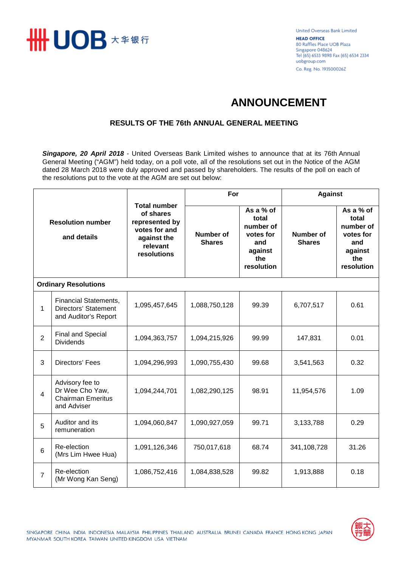

United Overseas Bank Limited **HEAD OFFICE** 80 Raffles Place UOB Plaza Singapore 048624 Tel (65) 6533 9898 Fax (65) 6534 2334 uobgroup.com Co. Reg. No. 193500026Z

## **ANNOUNCEMENT**

## **RESULTS OF THE 76th ANNUAL GENERAL MEETING**

*Singapore, 20 April 2018* - United Overseas Bank Limited wishes to announce that at its 76th Annual General Meeting ("AGM") held today, on a poll vote, all of the resolutions set out in the Notice of the AGM dated 28 March 2018 were duly approved and passed by shareholders. The results of the poll on each of the resolutions put to the vote at the AGM are set out below:

| <b>Resolution number</b><br>and details |                                                                                     | <b>Total number</b><br>of shares<br>represented by<br>votes for and<br>against the<br>relevant<br>resolutions | For                               |                                                                                     | <b>Against</b>                    |                                                                                     |  |  |  |
|-----------------------------------------|-------------------------------------------------------------------------------------|---------------------------------------------------------------------------------------------------------------|-----------------------------------|-------------------------------------------------------------------------------------|-----------------------------------|-------------------------------------------------------------------------------------|--|--|--|
|                                         |                                                                                     |                                                                                                               | <b>Number of</b><br><b>Shares</b> | As a % of<br>total<br>number of<br>votes for<br>and<br>against<br>the<br>resolution | <b>Number of</b><br><b>Shares</b> | As a % of<br>total<br>number of<br>votes for<br>and<br>against<br>the<br>resolution |  |  |  |
| <b>Ordinary Resolutions</b>             |                                                                                     |                                                                                                               |                                   |                                                                                     |                                   |                                                                                     |  |  |  |
| 1                                       | <b>Financial Statements,</b><br><b>Directors' Statement</b><br>and Auditor's Report | 1,095,457,645                                                                                                 | 1,088,750,128                     | 99.39                                                                               | 6,707,517                         | 0.61                                                                                |  |  |  |
| $\overline{2}$                          | <b>Final and Special</b><br><b>Dividends</b>                                        | 1,094,363,757                                                                                                 | 1,094,215,926                     | 99.99                                                                               | 147,831                           | 0.01                                                                                |  |  |  |
| 3                                       | Directors' Fees                                                                     | 1,094,296,993                                                                                                 | 1,090,755,430                     | 99.68                                                                               | 3,541,563                         | 0.32                                                                                |  |  |  |
| $\overline{4}$                          | Advisory fee to<br>Dr Wee Cho Yaw,<br><b>Chairman Emeritus</b><br>and Adviser       | 1,094,244,701                                                                                                 | 1,082,290,125                     | 98.91                                                                               | 11,954,576                        | 1.09                                                                                |  |  |  |
| 5                                       | Auditor and its<br>remuneration                                                     | 1,094,060,847                                                                                                 | 1,090,927,059                     | 99.71                                                                               | 3,133,788                         | 0.29                                                                                |  |  |  |
| 6                                       | Re-election<br>(Mrs Lim Hwee Hua)                                                   | 1,091,126,346                                                                                                 | 750,017,618                       | 68.74                                                                               | 341,108,728                       | 31.26                                                                               |  |  |  |
| $\overline{7}$                          | Re-election<br>(Mr Wong Kan Seng)                                                   | 1,086,752,416                                                                                                 | 1,084,838,528                     | 99.82                                                                               | 1,913,888                         | 0.18                                                                                |  |  |  |